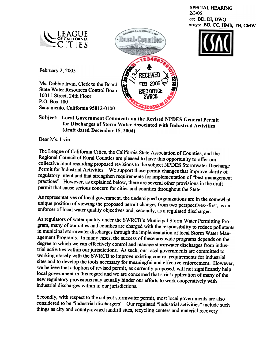**SPECIAL HEARING** 2/3/05 cc: BD, DI, DWQ e-cys: BD, CC, HMS, TH, CMW



'- Of CALiFORNIA .  $\sim$ 

February 2, 2005

Ms. Debbie Irvin, Clerk to the Board **State Water Resources Control Board** 1001 I Street, 24th Floor P.O. Box 100 Sacramento, California 95812-0100

Subject: Local Government Comments on the Revised NPDES General Permit for Discharges of Storm Water Associated with Industrial Activities (draft dated December 15,2004)

Dear Ms. Irvin

The League of California Cities, the California State Association of Counties, and the Regional Council of Rural Counties are pleased to have this opportunity to offer our collective input regarding proposed revisions to the subject NPDES Stormwater Discharge<br>Permit for Industrial Activities. We support those permit changes that improve clarity of regulatory intent and that strengthen requirements for implementation of "best management practices". However, as explained below, there are several other provisions in the draft pennit that cause serious concern for cities and counties throughout the State.

As representatives of local government, the undersigned organizations are in the somewhat unique position of viewing the proposed permit changes from two perspectives--first, as an enforcer of local water quality objectives and, secondly, as a regulated discharger.

As regulators of water quality under the SWRCB's Municipal Storm Water Permitting Program, many of our cities and counties are charged with the responsibility to reduce pollutants in municipal stormwater discharges through the implementation of local Storm Water Management Programs. In many cases, the success of these areawide programs depends on the degree to which we can effectively control and manage stormwater discharges from industrial activities within our jurisdictions. As such, our local governments are committed to working closely with the SWRCB to improve existing control requirements for industrial sites and to develop the tools necessary for meaningful and effective enforcement. However, we believe that adoption of revised permit, local government in this regard and we are concerned that strict application of many of the new regulatory provisions may actually hinder our efforts to work cooperatively with industrial discharges within in our iurisdictions.

Secondly, with respect to the subject stormwater pemiit, most local governments are also considered to be "industrial dischargers". Our regulated "industrial activities" include such things as city and county-owned landfill sites, recycling centers and material recovery

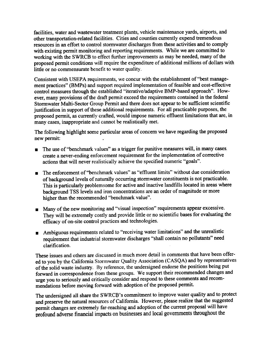facilities, water and wastewater treatment plants, vehicle maintenance yards, airports, and other transportation-related facilities. Cities and counties currently expend tremendous with existing permit monitoring and reporting requirements. While we are committed to working with the SWRCB to effect further improvements as may be needed, many of the proposed permit conditions will require the expenditure of additional millions of dollars with little or no commensurate benefit to water quality.

Consistent with USEPA requirements, we concur with the establishment of "best management practices" (BMPs) and support required implementation of feasible and cost-effective control measures through the established "iterative/adaptive BMP-based approach". However, many provisions of the draft permit exceed the requirements contained in the federal Stormwater Multi-Sector Group Permit and there does not appear to be sufficient scientific justification in support of these additional requirements. For all practicable purposes, the proposed permit, as currently crafted, would impose numeric effluent limitations that are, in many cases, inappropriate and cannot be realistically met.

The following highlight some particular areas of concern we have regarding the proposed new permit:

- The use of "benchmark values" as a trigger for punitive measures will, in many cases, . create a never-ending enforcement requirement for the implementation of corrective actions that will never realistically achieve the specified numeric "goals".
- The enforcement of "benchmark values" as "effluent limits" without due consideration of background levels of naturally occurring storm water constituents is not practicable. This is particularly problemsome for active and inactive landfills located in areas where background TSS levels and iron concentrations are an order of magnitude or more higher than the recommended "benchmark value".
- They will be extremely costly and provide little or no scientific bases for evaluating the efficacy of on-site control practices and technologies. **Many of the new monitoring and "visual inspection" requirements appear excessive.**
- **Ambiguous requirements related to "receiving water limitations" and the unrealistic** requirement that industrial stormwater discharges "shall contain no pollutants" need clarification.

These issues and others are discussed in much more detail in comments that have been offered to you by the California Stormwater Quality Association (CASQA) and by representatives of the solid waste industry. By reference, the undersigned endorse the positions being put forward in correspondence from these groups. We support their recommended changes and urge you to seriously and critically consider and respond to these comments and recommendations before moving forward with adoption of the proposed permit.

The undersigned all share the SWRCB's commitment to improve water quality and to protect and preserve the natural resources of California. However, please realize that the suggested permit changes are extremely far-reaching and adoption of the current proposal will have profound adverse financial impacts on businesses and local governments throughout the